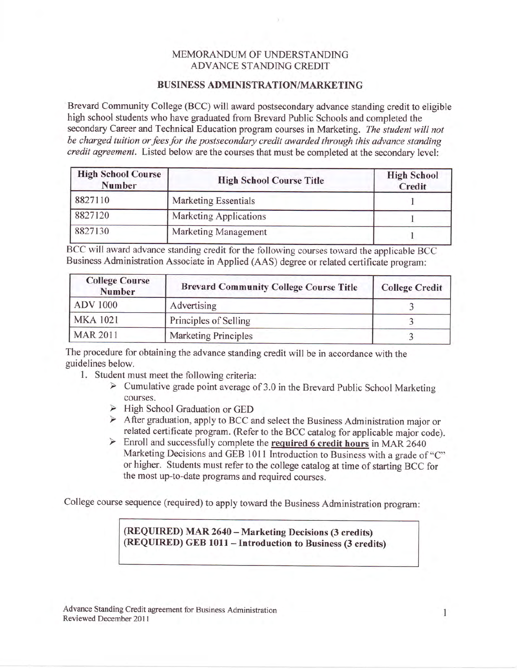## MEMORANDUM OF UNDERSTANDING ADVANCE STANDING CREDIT

## BUSINESS ADMINISTRATION/MARKETING

Brevard Community College (BCC) will award postsecondary advance standing credit to eligible high school students who have graduated from Brevard Public Schools and completed the secondary Career and Technical Education program courses in Marketing. The student will not be charged tuition or fees for the postsecondary credit awarded through this advance standing credit agreement. Listed below are the courses that must be completed at the secondary level:

| <b>High School Course</b><br>Number | <b>High School Course Title</b> | <b>High School</b><br>Credit |
|-------------------------------------|---------------------------------|------------------------------|
| 8827110                             | <b>Marketing Essentials</b>     |                              |
| 8827120                             | Marketing Applications          |                              |
| 8827130                             | <b>Marketing Management</b>     |                              |

BCC will award advance standing credit for the following courses toward the applicable BCC Business Administration Associate in Applied (AAS) degree or related certificate program:

| <b>College Course</b><br><b>Number</b> | <b>Brevard Community College Course Title</b> | <b>College Credit</b> |
|----------------------------------------|-----------------------------------------------|-----------------------|
| <b>ADV</b> 1000                        | Advertising                                   |                       |
| <b>MKA 1021</b>                        | Principles of Selling                         |                       |
| <b>MAR 2011</b>                        | <b>Marketing Principles</b>                   |                       |

The procedure for obtaining the advance standing credit will be in accordance with the guidelines below.

- 
- 1. Student must meet the following criteria:<br>
> Cumulative grade point average of 3.0 in the Brevard Public School Marketing courses.
	- $\triangleright$  High School Graduation or GED
	- After graduation, apply to BCC and select the Business Administration major or related certificate program. (Refer to the BCC catalog for applicable major code).<br>
	> Enroll and successfully complete the **required 6 credit**
	- Marketing Decisions and GEB 1011 Introduction to Business with a grade of "C" or higher. Students must refer to the college catalog at time of starting BCC for the most up-to-date programs and required courses.

College course sequence (required) to apply toward the Business Administration program:

(REQUIRED) MAR 2640 - Marketing Decisions (3 credits) (REQUIRED) GEB 1011 - Introduction to Business (3 credits)